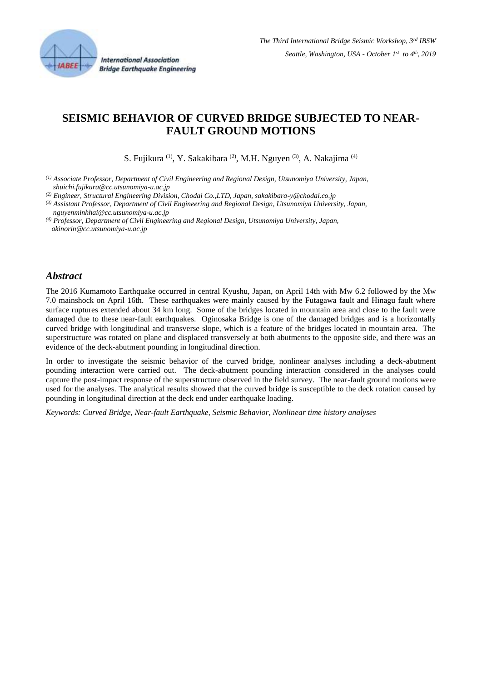

**International Association Bridge Earthquake Engineering** 

# **SEISMIC BEHAVIOR OF CURVED BRIDGE SUBJECTED TO NEAR-FAULT GROUND MOTIONS**

S. Fujikura <sup>(1)</sup>, Y. Sakakibara <sup>(2)</sup>, M.H. Nguyen <sup>(3)</sup>, A. Nakajima <sup>(4)</sup>

*(1) Associate Professor, Department of Civil Engineering and Regional Design, Utsunomiya University, Japan, shuichi.fujikura@cc.utsunomiya-u.ac.jp*

*(2) Engineer, Structural Engineering Division, Chodai Co.,LTD, Japan, sakakibara-y@chodai.co.jp*

*(3) Assistant Professor, Department of Civil Engineering and Regional Design, Utsunomiya University, Japan, nguyenminhhai@cc.utsunomiya-u.ac.jp*

*(4) Professor, Department of Civil Engineering and Regional Design, Utsunomiya University, Japan, akinorin@cc.utsunomiya-u.ac.jp*

#### *Abstract*

The 2016 Kumamoto Earthquake occurred in central Kyushu, Japan, on April 14th with Mw 6.2 followed by the Mw 7.0 mainshock on April 16th. These earthquakes were mainly caused by the Futagawa fault and Hinagu fault where surface ruptures extended about 34 km long. Some of the bridges located in mountain area and close to the fault were damaged due to these near-fault earthquakes. Oginosaka Bridge is one of the damaged bridges and is a horizontally curved bridge with longitudinal and transverse slope, which is a feature of the bridges located in mountain area. The superstructure was rotated on plane and displaced transversely at both abutments to the opposite side, and there was an evidence of the deck-abutment pounding in longitudinal direction.

In order to investigate the seismic behavior of the curved bridge, nonlinear analyses including a deck-abutment pounding interaction were carried out. The deck-abutment pounding interaction considered in the analyses could capture the post-impact response of the superstructure observed in the field survey. The near-fault ground motions were used for the analyses. The analytical results showed that the curved bridge is susceptible to the deck rotation caused by pounding in longitudinal direction at the deck end under earthquake loading.

*Keywords: Curved Bridge, Near-fault Earthquake, Seismic Behavior, Nonlinear time history analyses*